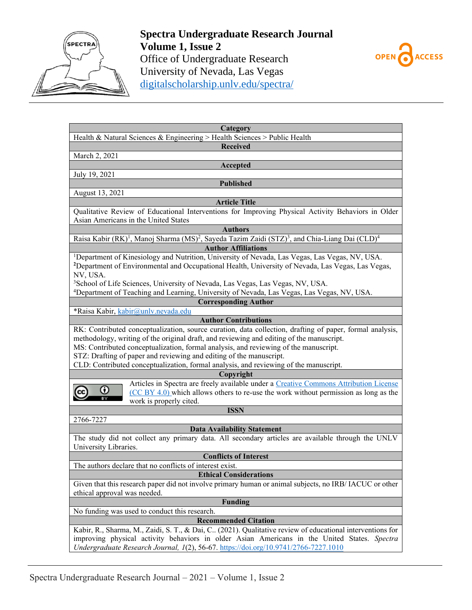



| Category<br>Health & Natural Sciences & Engineering > Health Sciences > Public Health                                                          |  |  |  |  |  |  |
|------------------------------------------------------------------------------------------------------------------------------------------------|--|--|--|--|--|--|
| <b>Received</b>                                                                                                                                |  |  |  |  |  |  |
| March 2, 2021                                                                                                                                  |  |  |  |  |  |  |
| Accepted                                                                                                                                       |  |  |  |  |  |  |
| July 19, 2021                                                                                                                                  |  |  |  |  |  |  |
| <b>Published</b>                                                                                                                               |  |  |  |  |  |  |
| August 13, 2021                                                                                                                                |  |  |  |  |  |  |
| <b>Article Title</b>                                                                                                                           |  |  |  |  |  |  |
| Qualitative Review of Educational Interventions for Improving Physical Activity Behaviors in Older                                             |  |  |  |  |  |  |
| Asian Americans in the United States                                                                                                           |  |  |  |  |  |  |
| <b>Authors</b>                                                                                                                                 |  |  |  |  |  |  |
| Raisa Kabir (RK) <sup>1</sup> , Manoj Sharma (MS) <sup>2</sup> , Sayeda Tazim Zaidi (STZ) <sup>3</sup> , and Chia-Liang Dai (CLD) <sup>4</sup> |  |  |  |  |  |  |
| <b>Author Affiliations</b>                                                                                                                     |  |  |  |  |  |  |
| <sup>1</sup> Department of Kinesiology and Nutrition, University of Nevada, Las Vegas, Las Vegas, NV, USA.                                     |  |  |  |  |  |  |
| <sup>2</sup> Department of Environmental and Occupational Health, University of Nevada, Las Vegas, Las Vegas,                                  |  |  |  |  |  |  |
| NV, USA.                                                                                                                                       |  |  |  |  |  |  |
| <sup>3</sup> School of Life Sciences, University of Nevada, Las Vegas, Las Vegas, NV, USA.                                                     |  |  |  |  |  |  |
| <sup>4</sup> Department of Teaching and Learning, University of Nevada, Las Vegas, Las Vegas, NV, USA.                                         |  |  |  |  |  |  |
| <b>Corresponding Author</b>                                                                                                                    |  |  |  |  |  |  |
| *Raisa Kabir, kabir@unlv.nevada.edu                                                                                                            |  |  |  |  |  |  |
| <b>Author Contributions</b>                                                                                                                    |  |  |  |  |  |  |
| RK: Contributed conceptualization, source curation, data collection, drafting of paper, formal analysis,                                       |  |  |  |  |  |  |
| methodology, writing of the original draft, and reviewing and editing of the manuscript.                                                       |  |  |  |  |  |  |
| MS: Contributed conceptualization, formal analysis, and reviewing of the manuscript.                                                           |  |  |  |  |  |  |
| STZ: Drafting of paper and reviewing and editing of the manuscript.                                                                            |  |  |  |  |  |  |
| CLD: Contributed conceptualization, formal analysis, and reviewing of the manuscript.                                                          |  |  |  |  |  |  |
| Copyright                                                                                                                                      |  |  |  |  |  |  |
| Articles in Spectra are freely available under a Creative Commons Attribution License                                                          |  |  |  |  |  |  |
| Ο<br>$(CC BY 4.0)$ which allows others to re-use the work without permission as long as the                                                    |  |  |  |  |  |  |
| work is properly cited.                                                                                                                        |  |  |  |  |  |  |
| <b>ISSN</b>                                                                                                                                    |  |  |  |  |  |  |
| 2766-7227                                                                                                                                      |  |  |  |  |  |  |
| <b>Data Availability Statement</b>                                                                                                             |  |  |  |  |  |  |
| The study did not collect any primary data. All secondary articles are available through the UNLV                                              |  |  |  |  |  |  |
| University Libraries.                                                                                                                          |  |  |  |  |  |  |
| <b>Conflicts of Interest</b>                                                                                                                   |  |  |  |  |  |  |
| The authors declare that no conflicts of interest exist.                                                                                       |  |  |  |  |  |  |
| <b>Ethical Considerations</b>                                                                                                                  |  |  |  |  |  |  |
| Given that this research paper did not involve primary human or animal subjects, no IRB/ IACUC or other                                        |  |  |  |  |  |  |
| ethical approval was needed.                                                                                                                   |  |  |  |  |  |  |
| <b>Funding</b>                                                                                                                                 |  |  |  |  |  |  |
| No funding was used to conduct this research.                                                                                                  |  |  |  |  |  |  |
| <b>Recommended Citation</b>                                                                                                                    |  |  |  |  |  |  |
| Kabir, R., Sharma, M., Zaidi, S. T., & Dai, C (2021). Qualitative review of educational interventions for                                      |  |  |  |  |  |  |
| improving physical activity behaviors in older Asian Americans in the United States. Spectra                                                   |  |  |  |  |  |  |
| Undergraduate Research Journal, $I(2)$ , 56-67. https://doi.org/10.9741/2766-7227.1010                                                         |  |  |  |  |  |  |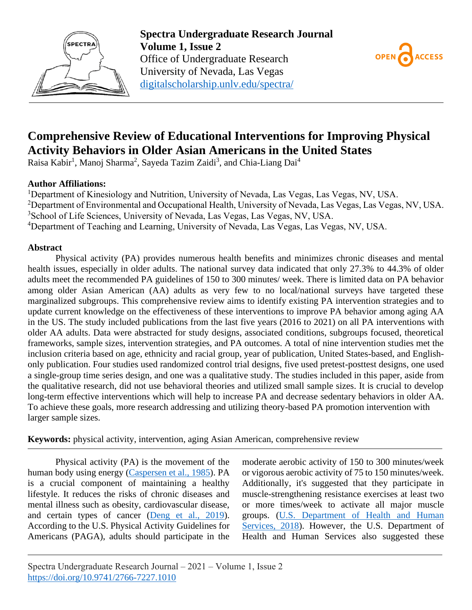



# **Comprehensive Review of Educational Interventions for Improving Physical Activity Behaviors in Older Asian Americans in the United States**

Raisa Kabir<sup>1</sup>, Manoj Sharma<sup>2</sup>, Sayeda Tazim Zaidi<sup>3</sup>, and Chia-Liang Dai<sup>4</sup>

## **Author Affiliations:**

<sup>1</sup>Department of Kinesiology and Nutrition, University of Nevada, Las Vegas, Las Vegas, NV, USA. <sup>2</sup>Department of Environmental and Occupational Health, University of Nevada, Las Vegas, Las Vegas, NV, USA. <sup>3</sup>School of Life Sciences, University of Nevada, Las Vegas, Las Vegas, NV, USA. <sup>4</sup>Department of Teaching and Learning, University of Nevada, Las Vegas, Las Vegas, NV, USA.

## **Abstract**

Physical activity (PA) provides numerous health benefits and minimizes chronic diseases and mental health issues, especially in older adults. The national survey data indicated that only 27.3% to 44.3% of older adults meet the recommended PA guidelines of 150 to 300 minutes/ week. There is limited data on PA behavior among older Asian American (AA) adults as very few to no local/national surveys have targeted these marginalized subgroups. This comprehensive review aims to identify existing PA intervention strategies and to update current knowledge on the effectiveness of these interventions to improve PA behavior among aging AA in the US. The study included publications from the last five years (2016 to 2021) on all PA interventions with older AA adults. Data were abstracted for study designs, associated conditions, subgroups focused, theoretical frameworks, sample sizes, intervention strategies, and PA outcomes. A total of nine intervention studies met the inclusion criteria based on age, ethnicity and racial group, year of publication, United States-based, and Englishonly publication. Four studies used randomized control trial designs, five used pretest-posttest designs, one used a single-group time series design, and one was a qualitative study. The studies included in this paper, aside from the qualitative research, did not use behavioral theories and utilized small sample sizes. It is crucial to develop long-term effective interventions which will help to increase PA and decrease sedentary behaviors in older AA. To achieve these goals, more research addressing and utilizing theory-based PA promotion intervention with larger sample sizes.

**Keywords:** physical activity, intervention, aging Asian American, comprehensive review

Physical activity (PA) is the movement of the human body using energy [\(Caspersen et al., 1985\)](#page-8-0). PA is a crucial component of maintaining a healthy lifestyle. It reduces the risks of chronic diseases and mental illness such as obesity, cardiovascular disease, and certain types of cancer [\(Deng et al., 2019\)](#page-8-1). According to the U.S. Physical Activity Guidelines for Americans (PAGA), adults should participate in the moderate aerobic activity of 150 to 300 minutes/week or vigorous aerobic activity of 75 to 150 minutes/week. Additionally, it's suggested that they participate in muscle-strengthening resistance exercises at least two or more times/week to activate all major muscle groups. [\(U.S. Department of Health and Human](#page-9-0)  [Services, 2018\)](#page-9-0). However, the U.S. Department of Health and Human Services also suggested these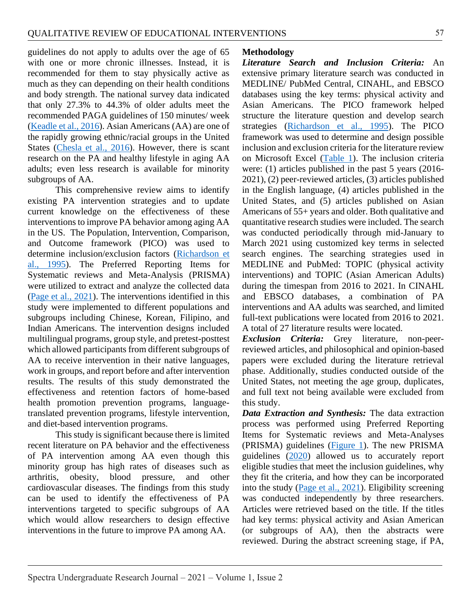guidelines do not apply to adults over the age of 65 with one or more chronic illnesses. Instead, it is recommended for them to stay physically active as much as they can depending on their health conditions and body strength. The national survey data indicated that only 27.3% to 44.3% of older adults meet the recommended PAGA guidelines of 150 minutes/ week [\(Keadle et al., 2016\)](#page-8-2). Asian Americans (AA) are one of the rapidly growing ethnic/racial groups in the United States [\(Chesla et al., 2016\)](#page-8-3). However, there is scant research on the PA and healthy lifestyle in aging AA adults; even less research is available for minority subgroups of AA.

This comprehensive review aims to identify existing PA intervention strategies and to update current knowledge on the effectiveness of these interventions to improve PA behavior among aging AA in the US. The Population, Intervention, Comparison, and Outcome framework (PICO) was used to determine inclusion/exclusion factors [\(Richardson et](#page-9-1)  [al., 1995\)](#page-9-1). The Preferred Reporting Items for Systematic reviews and Meta-Analysis (PRISMA) were utilized to extract and analyze the collected data [\(Page et al., 2021\)](#page-8-4). The interventions identified in this study were implemented to different populations and subgroups including Chinese, Korean, Filipino, and Indian Americans. The intervention designs included multilingual programs, group style, and pretest-posttest which allowed participants from different subgroups of AA to receive intervention in their native languages, work in groups, and report before and after intervention results. The results of this study demonstrated the effectiveness and retention factors of home-based health promotion prevention programs, languagetranslated prevention programs, lifestyle intervention, and diet-based intervention programs.

This study is significant because there is limited recent literature on PA behavior and the effectiveness of PA intervention among AA even though this minority group has high rates of diseases such as arthritis, obesity, blood pressure, and other cardiovascular diseases. The findings from this study can be used to identify the effectiveness of PA interventions targeted to specific subgroups of AA which would allow researchers to design effective interventions in the future to improve PA among AA.

## **Methodology**

*Literature Search and Inclusion Criteria:* An extensive primary literature search was conducted in MEDLINE/ PubMed Central, CINAHL, and EBSCO databases using the key terms: physical activity and Asian Americans. The PICO framework helped structure the literature question and develop search strategies [\(Richardson et al., 1995\)](#page-9-1). The PICO framework was used to determine and design possible inclusion and exclusion criteria for the literature review on Microsoft Excel [\(Table 1\)](#page-11-0). The inclusion criteria were: (1) articles published in the past 5 years (2016- 2021), (2) peer-reviewed articles, (3) articles published in the English language, (4) articles published in the United States, and (5) articles published on Asian Americans of 55+ years and older. Both qualitative and quantitative research studies were included. The search was conducted periodically through mid-January to March 2021 using customized key terms in selected search engines. The searching strategies used in MEDLINE and PubMed: TOPIC (physical activity interventions) and TOPIC (Asian American Adults) during the timespan from 2016 to 2021. In CINAHL and EBSCO databases, a combination of PA interventions and AA adults was searched, and limited full-text publications were located from 2016 to 2021. A total of 27 literature results were located.

*Exclusion Criteria:* Grey literature, non-peerreviewed articles, and philosophical and opinion-based papers were excluded during the literature retrieval phase. Additionally, studies conducted outside of the United States, not meeting the age group, duplicates, and full text not being available were excluded from this study.

*Data Extraction and Synthesis:* The data extraction process was performed using Preferred Reporting Items for Systematic reviews and Meta-Analyses (PRISMA) guidelines [\(Figure](#page-10-0) 1). The new PRISMA guidelines [\(2020\)](#page-8-4) allowed us to accurately report eligible studies that meet the inclusion guidelines, why they fit the criteria, and how they can be incorporated into the study [\(Page et al., 2021\)](#page-8-4). Eligibility screening was conducted independently by three researchers. Articles were retrieved based on the title. If the titles had key terms: physical activity and Asian American (or subgroups of AA), then the abstracts were reviewed. During the abstract screening stage, if PA,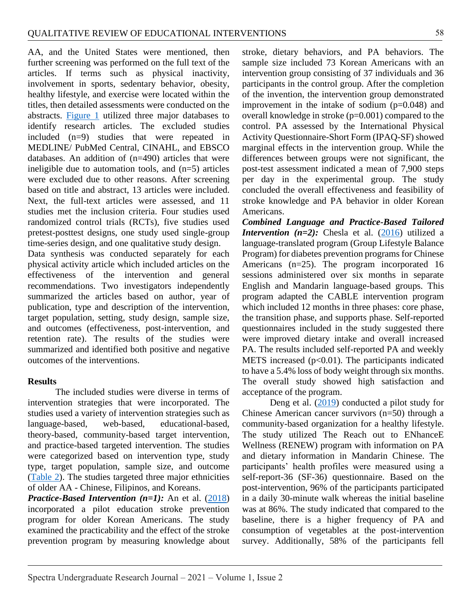AA, and the United States were mentioned, then further screening was performed on the full text of the articles. If terms such as physical inactivity, involvement in sports, sedentary behavior, obesity, healthy lifestyle, and exercise were located within the titles, then detailed assessments were conducted on the abstracts. [Figure](#page-10-0) 1 utilized three major databases to identify research articles. The excluded studies included (n=9) studies that were repeated in MEDLINE/ PubMed Central, CINAHL, and EBSCO databases. An addition of (n=490) articles that were ineligible due to automation tools, and (n=5) articles were excluded due to other reasons. After screening based on title and abstract, 13 articles were included. Next, the full-text articles were assessed, and 11 studies met the inclusion criteria. Four studies used randomized control trials (RCTs), five studies used pretest-posttest designs, one study used single-group time-series design, and one qualitative study design.

Data synthesis was conducted separately for each physical activity article which included articles on the effectiveness of the intervention and general recommendations. Two investigators independently summarized the articles based on author, year of publication, type and description of the intervention, target population, setting, study design, sample size, and outcomes (effectiveness, post-intervention, and retention rate). The results of the studies were summarized and identified both positive and negative outcomes of the interventions.

#### **Results**

The included studies were diverse in terms of intervention strategies that were incorporated. The studies used a variety of intervention strategies such as language-based, web-based, educational-based, theory-based, community-based target intervention, and practice-based targeted intervention. The studies were categorized based on intervention type, study type, target population, sample size, and outcome [\(Table 2\)](#page-12-0). The studies targeted three major ethnicities of older AA - Chinese, Filipinos, and Koreans.

*Practice-Based Intervention (n=1):* An et al. [\(2018\)](#page-7-0) incorporated a pilot education stroke prevention program for older Korean Americans. The study examined the practicability and the effect of the stroke prevention program by measuring knowledge about

stroke, dietary behaviors, and PA behaviors. The sample size included 73 Korean Americans with an intervention group consisting of 37 individuals and 36 participants in the control group. After the completion of the invention, the intervention group demonstrated improvement in the intake of sodium  $(p=0.048)$  and overall knowledge in stroke  $(p=0.001)$  compared to the control. PA assessed by the International Physical Activity Questionnaire-Short Form (IPAQ-SF) showed marginal effects in the intervention group. While the differences between groups were not significant, the post-test assessment indicated a mean of 7,900 steps per day in the experimental group. The study concluded the overall effectiveness and feasibility of stroke knowledge and PA behavior in older Korean Americans.

*Combined Language and Practice-Based Tailored Intervention*  $(n=2)$ *:* Chesla et al.  $(2016)$  utilized a language-translated program (Group Lifestyle Balance Program) for diabetes prevention programs for Chinese Americans (n=25). The program incorporated 16 sessions administered over six months in separate English and Mandarin language-based groups. This program adapted the CABLE intervention program which included 12 months in three phases: core phase, the transition phase, and supports phase. Self-reported questionnaires included in the study suggested there were improved dietary intake and overall increased PA. The results included self-reported PA and weekly METS increased  $(p<0.01)$ . The participants indicated to have a 5.4% loss of body weight through six months. The overall study showed high satisfaction and acceptance of the program.

Deng et al. [\(2019\)](#page-8-1) conducted a pilot study for Chinese American cancer survivors (n=50) through a community-based organization for a healthy lifestyle. The study utilized The Reach out to ENhanceE Wellness (RENEW) program with information on PA and dietary information in Mandarin Chinese. The participants' health profiles were measured using a self-report-36 (SF-36) questionnaire. Based on the post-intervention, 96% of the participants participated in a daily 30-minute walk whereas the initial baseline was at 86%. The study indicated that compared to the baseline, there is a higher frequency of PA and consumption of vegetables at the post-intervention survey. Additionally, 58% of the participants fell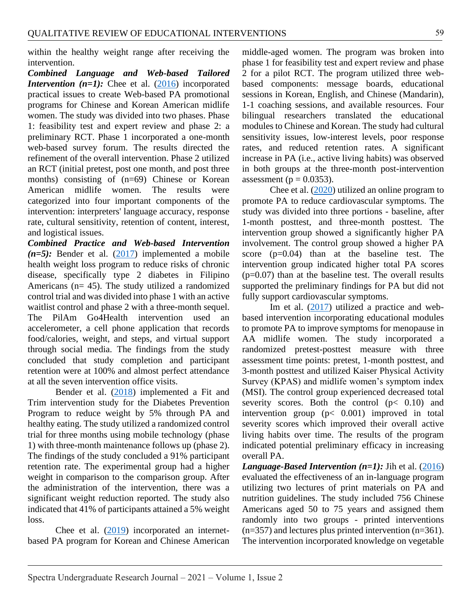within the healthy weight range after receiving the intervention.

*Combined Language and Web-based Tailored Intervention*  $(n=1)$ *:* Chee et al.  $(2016)$  incorporated practical issues to create Web-based PA promotional programs for Chinese and Korean American midlife women. The study was divided into two phases. Phase 1: feasibility test and expert review and phase 2: a preliminary RCT. Phase 1 incorporated a one-month web-based survey forum. The results directed the refinement of the overall intervention. Phase 2 utilized an RCT (initial pretest, post one month, and post three months) consisting of (n=69) Chinese or Korean American midlife women. The results were categorized into four important components of the intervention: interpreters' language accuracy, response rate, cultural sensitivity, retention of content, interest, and logistical issues.

*Combined Practice and Web-based Intervention*   $(n=5)$ : Bender et al.  $(2017)$  implemented a mobile health weight loss program to reduce risks of chronic disease, specifically type 2 diabetes in Filipino Americans (n= 45). The study utilized a randomized control trial and was divided into phase 1 with an active waitlist control and phase 2 with a three-month sequel. The PilAm Go4Health intervention used an accelerometer, a cell phone application that records food/calories, weight, and steps, and virtual support through social media. The findings from the study concluded that study completion and participant retention were at 100% and almost perfect attendance at all the seven intervention office visits.

Bender et al. [\(2018\)](#page-7-2) implemented a Fit and Trim intervention study for the Diabetes Prevention Program to reduce weight by 5% through PA and healthy eating. The study utilized a randomized control trial for three months using mobile technology (phase 1) with three-month maintenance follows up (phase 2). The findings of the study concluded a 91% participant retention rate. The experimental group had a higher weight in comparison to the comparison group. After the administration of the intervention, there was a significant weight reduction reported. The study also indicated that 41% of participants attained a 5% weight loss.

Chee et al. [\(2019\)](#page-8-6) incorporated an internetbased PA program for Korean and Chinese American

middle-aged women. The program was broken into phase 1 for feasibility test and expert review and phase 2 for a pilot RCT. The program utilized three webbased components: message boards, educational sessions in Korean, English, and Chinese (Mandarin), 1-1 coaching sessions, and available resources. Four bilingual researchers translated the educational modules to Chinese and Korean. The study had cultural sensitivity issues, low-interest levels, poor response rates, and reduced retention rates. A significant increase in PA (i.e., active living habits) was observed in both groups at the three-month post-intervention assessment ( $p = 0.0353$ ).

Chee et al. [\(2020\)](#page-8-7) utilized an online program to promote PA to reduce cardiovascular symptoms. The study was divided into three portions - baseline, after 1-month posttest, and three-month posttest. The intervention group showed a significantly higher PA involvement. The control group showed a higher PA score (p=0.04) than at the baseline test. The intervention group indicated higher total PA scores  $(p=0.07)$  than at the baseline test. The overall results supported the preliminary findings for PA but did not fully support cardiovascular symptoms.

Im et al. [\(2017\)](#page-8-8) utilized a practice and webbased intervention incorporating educational modules to promote PA to improve symptoms for menopause in AA midlife women. The study incorporated a randomized pretest-posttest measure with three assessment time points: pretest, 1-month posttest, and 3-month posttest and utilized Kaiser Physical Activity Survey (KPAS) and midlife women's symptom index (MSI). The control group experienced decreased total severity scores. Both the control  $(p < 0.10)$  and intervention group (p< 0.001) improved in total severity scores which improved their overall active living habits over time. The results of the program indicated potential preliminary efficacy in increasing overall PA.

*Language-Based Intervention (n=1):* Jih et al. [\(2016\)](#page-8-9) evaluated the effectiveness of an in-language program utilizing two lectures of print materials on PA and nutrition guidelines. The study included 756 Chinese Americans aged 50 to 75 years and assigned them randomly into two groups - printed interventions  $(n=357)$  and lectures plus printed intervention  $(n=361)$ . The intervention incorporated knowledge on vegetable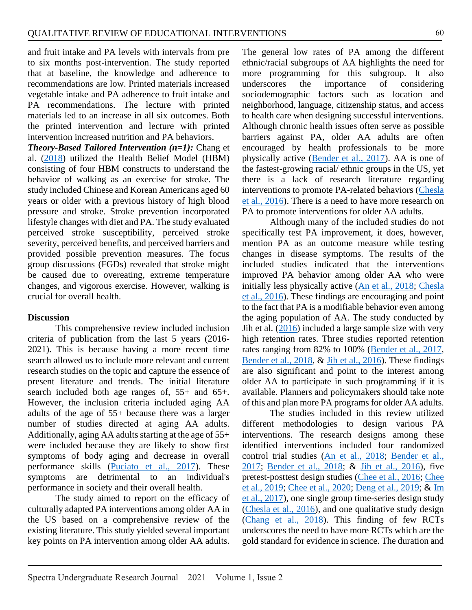and fruit intake and PA levels with intervals from pre to six months post-intervention. The study reported that at baseline, the knowledge and adherence to recommendations are low. Printed materials increased vegetable intake and PA adherence to fruit intake and PA recommendations. The lecture with printed materials led to an increase in all six outcomes. Both the printed intervention and lecture with printed intervention increased nutrition and PA behaviors.

*Theory-Based Tailored Intervention (n=1):* Chang et al. [\(2018\)](#page-8-10) utilized the Health Belief Model (HBM) consisting of four HBM constructs to understand the behavior of walking as an exercise for stroke. The study included Chinese and Korean Americans aged 60 years or older with a previous history of high blood pressure and stroke. Stroke prevention incorporated lifestyle changes with diet and PA. The study evaluated perceived stroke susceptibility, perceived stroke severity, perceived benefits, and perceived barriers and provided possible prevention measures. The focus group discussions (FGDs) revealed that stroke might be caused due to overeating, extreme temperature changes, and vigorous exercise. However, walking is crucial for overall health.

#### **Discussion**

This comprehensive review included inclusion criteria of publication from the last 5 years (2016- 2021). This is because having a more recent time search allowed us to include more relevant and current research studies on the topic and capture the essence of present literature and trends. The initial literature search included both age ranges of, 55+ and 65+. However, the inclusion criteria included aging AA adults of the age of 55+ because there was a larger number of studies directed at aging AA adults. Additionally, aging AA adults starting at the age of 55+ were included because they are likely to show first symptoms of body aging and decrease in overall performance skills [\(Puciato et al., 2017\)](#page-9-2). These symptoms are detrimental to an individual's performance in society and their overall health.

The study aimed to report on the efficacy of culturally adapted PA interventions among older AA in the US based on a comprehensive review of the existing literature. This study yielded several important key points on PA intervention among older AA adults.

The general low rates of PA among the different ethnic/racial subgroups of AA highlights the need for more programming for this subgroup. It also underscores the importance of considering sociodemographic factors such as location and neighborhood, language, citizenship status, and access to health care when designing successful interventions. Although chronic health issues often serve as possible barriers against PA, older AA adults are often encouraged by health professionals to be more physically active [\(Bender et al., 2017\)](#page-7-1). AA is one of the fastest-growing racial/ ethnic groups in the US, yet there is a lack of research literature regarding interventions to promote PA-related behaviors [\(Chesla](#page-8-3)  [et al., 2016\)](#page-8-3). There is a need to have more research on PA to promote interventions for older AA adults.

Although many of the included studies do not specifically test PA improvement, it does, however, mention PA as an outcome measure while testing changes in disease symptoms. The results of the included studies indicated that the interventions improved PA behavior among older AA who were initially less physically active [\(An et al., 2018;](#page-7-0) [Chesla](#page-8-3)  [et al., 2016\)](#page-8-3). These findings are encouraging and point to the fact that PA is a modifiable behavior even among the aging population of AA. The study conducted by Jih et al.  $(2016)$  included a large sample size with very high retention rates. Three studies reported retention rates ranging from 82% to 100% [\(Bender et al., 2017,](#page-7-1) [Bender et al., 2018,](#page-7-2) & [Jih et al., 2016\)](#page-8-9). These findings are also significant and point to the interest among older AA to participate in such programming if it is available. Planners and policymakers should take note of this and plan more PA programs for older AA adults.

The studies included in this review utilized different methodologies to design various PA interventions. The research designs among these identified interventions included four randomized control trial studies [\(An et al., 2018;](#page-7-0) [Bender et al.,](#page-7-1)  [2017;](#page-7-1) [Bender et al., 2018;](#page-7-2) & [Jih et al., 2016\)](#page-8-9), five pretest-posttest design studies [\(Chee et al., 2016;](#page-8-5) [Chee](#page-8-6)  [et al., 2019;](#page-8-6) [Chee et al., 2020;](#page-8-7) [Deng et al., 2019;](#page-8-1) & [Im](#page-8-8)  [et al., 2017\)](#page-8-8), one single group time-series design study [\(Chesla et al., 2016\)](#page-8-3), and one qualitative study design [\(Chang et al., 2018\)](#page-8-10). This finding of few RCTs underscores the need to have more RCTs which are the gold standard for evidence in science. The duration and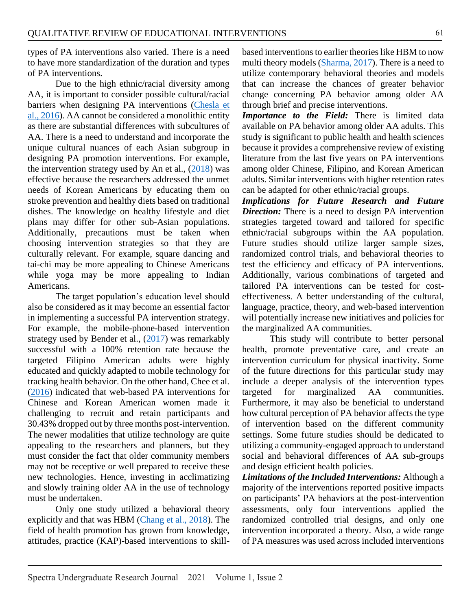types of PA interventions also varied. There is a need to have more standardization of the duration and types of PA interventions.

Due to the high ethnic/racial diversity among AA, it is important to consider possible cultural/racial barriers when designing PA interventions (Chesla et [al., 2016\)](#page-8-3). AA cannot be considered a monolithic entity as there are substantial differences with subcultures of AA. There is a need to understand and incorporate the unique cultural nuances of each Asian subgroup in designing PA promotion interventions. For example, the intervention strategy used by An et al.,  $(2018)$  was effective because the researchers addressed the unmet needs of Korean Americans by educating them on stroke prevention and healthy diets based on traditional dishes. The knowledge on healthy lifestyle and diet plans may differ for other sub-Asian populations. Additionally, precautions must be taken when choosing intervention strategies so that they are culturally relevant. For example, square dancing and tai-chi may be more appealing to Chinese Americans while yoga may be more appealing to Indian Americans.

The target population's education level should also be considered as it may become an essential factor in implementing a successful PA intervention strategy. For example, the mobile-phone-based intervention strategy used by Bender et al., [\(2017\)](#page-7-1) was remarkably successful with a 100% retention rate because the targeted Filipino American adults were highly educated and quickly adapted to mobile technology for tracking health behavior. On the other hand, Chee et al. [\(2016\)](#page-8-5) indicated that web-based PA interventions for Chinese and Korean American women made it challenging to recruit and retain participants and 30.43% dropped out by three months post-intervention. The newer modalities that utilize technology are quite appealing to the researchers and planners, but they must consider the fact that older community members may not be receptive or well prepared to receive these new technologies. Hence, investing in acclimatizing and slowly training older AA in the use of technology must be undertaken.

Only one study utilized a behavioral theory explicitly and that was HBM [\(Chang et al., 2018\)](#page-8-10). The field of health promotion has grown from knowledge, attitudes, practice (KAP)-based interventions to skill-

based interventions to earlier theories like HBM to now multi theory models [\(Sharma, 2017\)](#page-9-3). There is a need to utilize contemporary behavioral theories and models that can increase the chances of greater behavior change concerning PA behavior among older AA through brief and precise interventions.

*Importance to the Field:* There is limited data available on PA behavior among older AA adults. This study is significant to public health and health sciences because it provides a comprehensive review of existing literature from the last five years on PA interventions among older Chinese, Filipino, and Korean American adults. Similar interventions with higher retention rates can be adapted for other ethnic/racial groups.

*Implications for Future Research and Future Direction:* There is a need to design PA intervention strategies targeted toward and tailored for specific ethnic/racial subgroups within the AA population. Future studies should utilize larger sample sizes, randomized control trials, and behavioral theories to test the efficiency and efficacy of PA interventions. Additionally, various combinations of targeted and tailored PA interventions can be tested for costeffectiveness. A better understanding of the cultural, language, practice, theory, and web-based intervention will potentially increase new initiatives and policies for the marginalized AA communities.

This study will contribute to better personal health, promote preventative care, and create an intervention curriculum for physical inactivity. Some of the future directions for this particular study may include a deeper analysis of the intervention types targeted for marginalized AA communities. Furthermore, it may also be beneficial to understand how cultural perception of PA behavior affects the type of intervention based on the different community settings. Some future studies should be dedicated to utilizing a community-engaged approach to understand social and behavioral differences of AA sub-groups and design efficient health policies.

*Limitations of the Included Interventions:* Although a majority of the interventions reported positive impacts on participants' PA behaviors at the post-intervention assessments, only four interventions applied the randomized controlled trial designs, and only one intervention incorporated a theory. Also, a wide range of PA measures was used across included interventions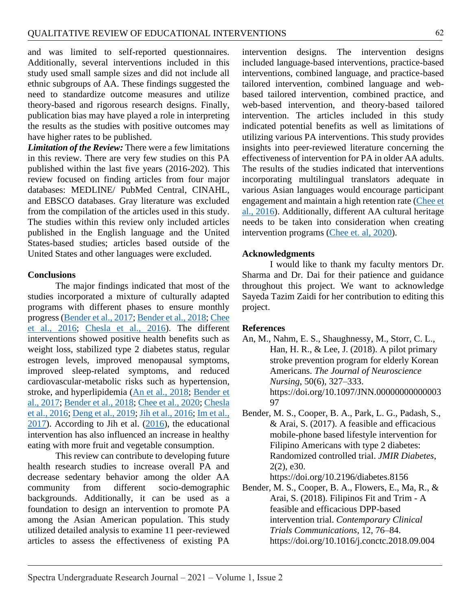and was limited to self-reported questionnaires. Additionally, several interventions included in this study used small sample sizes and did not include all ethnic subgroups of AA. These findings suggested the need to standardize outcome measures and utilize theory-based and rigorous research designs. Finally, publication bias may have played a role in interpreting the results as the studies with positive outcomes may have higher rates to be published.

*Limitation of the Review:* There were a few limitations in this review. There are very few studies on this PA published within the last five years (2016-202). This review focused on finding articles from four major databases: MEDLINE/ PubMed Central, CINAHL, and EBSCO databases. Gray literature was excluded from the compilation of the articles used in this study. The studies within this review only included articles published in the English language and the United States-based studies; articles based outside of the United States and other languages were excluded.

#### **Conclusions**

The major findings indicated that most of the studies incorporated a mixture of culturally adapted programs with different phases to ensure monthly progress [\(Bender et al., 2017;](#page-7-1) [Bender et al., 2018;](#page-7-2) [Chee](#page-8-5)  [et al., 2016;](#page-8-5) [Chesla et al., 2016\)](#page-8-3). The different interventions showed positive health benefits such as weight loss, stabilized type 2 diabetes status, regular estrogen levels, improved menopausal symptoms, improved sleep-related symptoms, and reduced cardiovascular-metabolic risks such as hypertension, stroke, and hyperlipidemia [\(An et al., 2018;](#page-7-0) [Bender et](#page-7-1)  [al., 2017;](#page-7-1) [Bender et al., 2018;](#page-7-2) [Chee et al., 2020;](#page-8-7) [Chesla](#page-8-3)  [et al., 2016;](#page-8-3) [Deng et al., 2019;](#page-8-1) [Jih et al., 2016;](#page-8-9) [Im et al.,](#page-8-8)  [2017\)](#page-8-8). According to Jih et al. [\(2016\)](#page-8-9), the educational intervention has also influenced an increase in healthy eating with more fruit and vegetable consumption.

This review can contribute to developing future health research studies to increase overall PA and decrease sedentary behavior among the older AA community from different socio-demographic backgrounds. Additionally, it can be used as a foundation to design an intervention to promote PA among the Asian American population. This study utilized detailed analysis to examine 11 peer-reviewed articles to assess the effectiveness of existing PA

intervention designs. The intervention designs included language-based interventions, practice-based interventions, combined language, and practice-based tailored intervention, combined language and webbased tailored intervention, combined practice, and web-based intervention, and theory-based tailored intervention. The articles included in this study indicated potential benefits as well as limitations of utilizing various PA interventions. This study provides insights into peer-reviewed literature concerning the effectiveness of intervention for PA in older AA adults. The results of the studies indicated that interventions incorporating multilingual translators adequate in various Asian languages would encourage participant engagement and maintain a high retention rate [\(Chee](#page-8-5) et [al., 2016\)](#page-8-5). Additionally, different AA cultural heritage needs to be taken into consideration when creating intervention programs [\(Chee et. al, 2020\)](#page-8-7).

#### **Acknowledgments**

I would like to thank my faculty mentors Dr. Sharma and Dr. Dai for their patience and guidance throughout this project. We want to acknowledge Sayeda Tazim Zaidi for her contribution to editing this project.

#### **References**

- <span id="page-7-0"></span>An, M., Nahm, E. S., Shaughnessy, M., Storr, C. L., Han, H. R., & Lee, J. (2018). A pilot primary stroke prevention program for elderly Korean Americans. *The Journal of Neuroscience Nursing*, 50(6), 327–333. https://doi.org/10.1097/JNN.00000000000003 97
- <span id="page-7-1"></span>Bender, M. S., Cooper, B. A., Park, L. G., Padash, S., & Arai, S. (2017). A feasible and efficacious mobile-phone based lifestyle intervention for Filipino Americans with type 2 diabetes: Randomized controlled trial. *JMIR Diabetes*, 2(2), e30.

https://doi.org/10.2196/diabetes.8156

<span id="page-7-2"></span>Bender, M. S., Cooper, B. A., Flowers, E., Ma, R., & Arai, S. (2018). Filipinos Fit and Trim - A feasible and efficacious DPP-based intervention trial. *Contemporary Clinical Trials Communications*, 12, 76–84. https://doi.org/10.1016/j.conctc.2018.09.004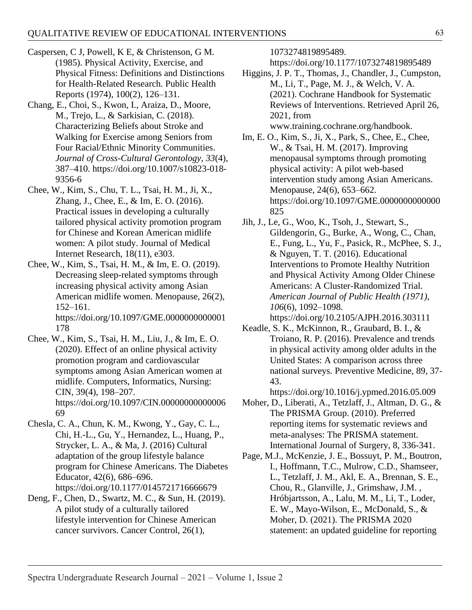- <span id="page-8-0"></span>Caspersen, C J, Powell, K E, & Christenson, G M. (1985). Physical Activity, Exercise, and Physical Fitness: Definitions and Distinctions for Health-Related Research. Public Health Reports (1974), 100(2), 126–131.
- <span id="page-8-10"></span>Chang, E., Choi, S., Kwon, I., Araiza, D., Moore, M., Trejo, L., & Sarkisian, C. (2018). Characterizing Beliefs about Stroke and Walking for Exercise among Seniors from Four Racial/Ethnic Minority Communities. *Journal of Cross-Cultural Gerontology*, *33*(4), 387–410. https://doi.org/10.1007/s10823-018- 9356-6
- <span id="page-8-5"></span>Chee, W., Kim, S., Chu, T. L., Tsai, H. M., Ji, X., Zhang, J., Chee, E., & Im, E. O. (2016). Practical issues in developing a culturally tailored physical activity promotion program for Chinese and Korean American midlife women: A pilot study. Journal of Medical Internet Research, 18(11), e303.
- <span id="page-8-6"></span>Chee, W., Kim, S., Tsai, H. M., & Im, E. O. (2019). Decreasing sleep-related symptoms through increasing physical activity among Asian American midlife women. Menopause, 26(2), 152–161. https://doi.org/10.1097/GME.0000000000001 178
- <span id="page-8-7"></span>Chee, W., Kim, S., Tsai, H. M., Liu, J., & Im, E. O. (2020). Effect of an online physical activity promotion program and cardiovascular symptoms among Asian American women at midlife. Computers, Informatics, Nursing: CIN, 39(4), 198–207. https://doi.org/10.1097/CIN.00000000000006 69
- <span id="page-8-3"></span>Chesla, C. A., Chun, K. M., Kwong, Y., Gay, C. L., Chi, H.-L., Gu, Y., Hernandez, L., Huang, P., Strycker, L. A., & Ma, J. (2016) Cultural adaptation of the group lifestyle balance program for Chinese Americans. The Diabetes Educator, 42(6), 686–696. https://doi.org/10.1177/0145721716666679
- <span id="page-8-1"></span>Deng, F., Chen, D., Swartz, M. C., & Sun, H. (2019). A pilot study of a culturally tailored lifestyle intervention for Chinese American cancer survivors. Cancer Control, 26(1),

1073274819895489.

https://doi.org/10.1177/1073274819895489

- Higgins, J. P. T., Thomas, J., Chandler, J., Cumpston, M., Li, T., Page, M. J., & Welch, V. A. (2021). Cochrane Handbook for Systematic Reviews of Interventions. Retrieved April 26, 2021, from www.training.cochrane.org/handbook.
- <span id="page-8-8"></span>Im, E. O., Kim, S., Ji, X., Park, S., Chee, E., Chee, W., & Tsai, H. M. (2017). Improving menopausal symptoms through promoting physical activity: A pilot web-based intervention study among Asian Americans. Menopause, 24(6), 653–662. https://doi.org/10.1097/GME.0000000000000 825
- <span id="page-8-9"></span>Jih, J., Le, G., Woo, K., Tsoh, J., Stewart, S., Gildengorin, G., Burke, A., Wong, C., Chan, E., Fung, L., Yu, F., Pasick, R., McPhee, S. J., & Nguyen, T. T. (2016). Educational Interventions to Promote Healthy Nutrition and Physical Activity Among Older Chinese Americans: A Cluster-Randomized Trial. *American Journal of Public Health (1971)*, *106*(6), 1092–1098.
	- https://doi.org/10.2105/AJPH.2016.303111
- <span id="page-8-2"></span>Keadle, S. K., McKinnon, R., Graubard, B. I., & Troiano, R. P. (2016). Prevalence and trends in physical activity among older adults in the United States: A comparison across three national surveys. Preventive Medicine, 89, 37- 43.

https://doi.org/10.1016/j.ypmed.2016.05.009

- Moher, D., Liberati, A., Tetzlaff, J., Altman, D. G., & The PRISMA Group. (2010). Preferred reporting items for systematic reviews and meta-analyses: The PRISMA statement. International Journal of Surgery, 8, 336-341.
- <span id="page-8-4"></span>Page, M.J., McKenzie, J. E., Bossuyt, P. M., Boutron, I., Hoffmann, T.C., Mulrow, C.D., Shamseer, L., Tetzlaff, J. M., Akl, E. A., Brennan, S. E., Chou, R., Glanville, J., Grimshaw, J.M. , Hróbjartsson, A., Lalu, M. M., Li, T., Loder, E. W., Mayo-Wilson, E., McDonald, S., & Moher, D. (2021). The PRISMA 2020 statement: an updated guideline for reporting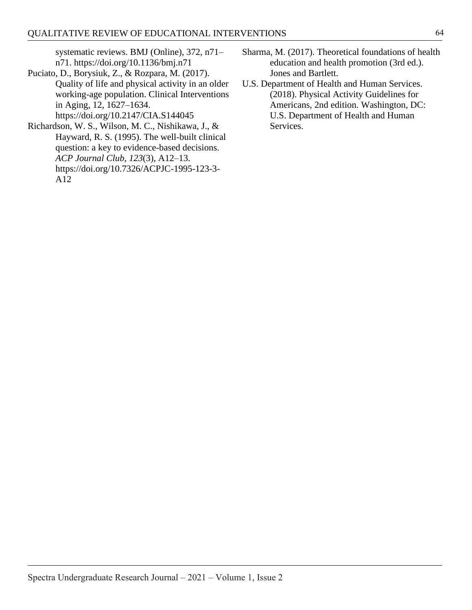systematic reviews. BMJ (Online), 372, n71– n71. https://doi.org/10.1136/bmj.n71

- <span id="page-9-2"></span>Puciato, D., Borysiuk, Z., & Rozpara, M. (2017). Quality of life and physical activity in an older working-age population. Clinical Interventions in Aging, 12, 1627–1634. https://doi.org/10.2147/CIA.S144045
- <span id="page-9-1"></span>Richardson, W. S., Wilson, M. C., Nishikawa, J., & Hayward, R. S. (1995). The well-built clinical question: a key to evidence-based decisions. *ACP Journal Club*, *123*(3), A12–13. https://doi.org/10.7326/ACPJC-1995-123-3- A12
- <span id="page-9-3"></span>Sharma, M. (2017). Theoretical foundations of health education and health promotion (3rd ed.). Jones and Bartlett.
- <span id="page-9-0"></span>U.S. Department of Health and Human Services. (2018). Physical Activity Guidelines for Americans, 2nd edition. Washington, DC: U.S. Department of Health and Human Services.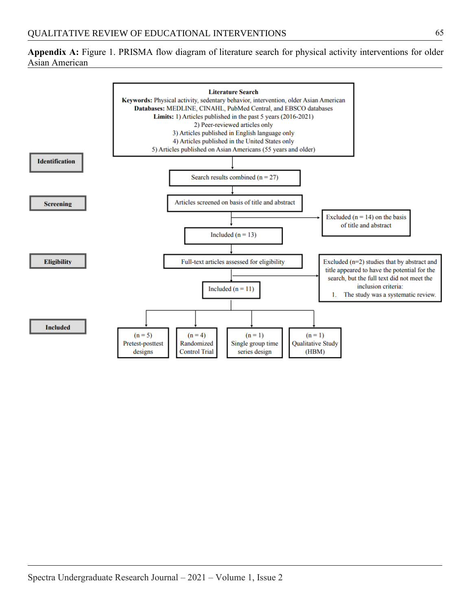<span id="page-10-0"></span>**Appendix A:** Figure 1. PRISMA flow diagram of literature search for physical activity interventions for older Asian American

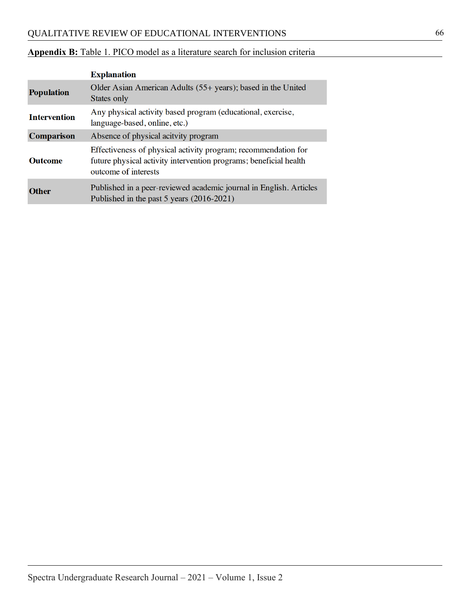## <span id="page-11-0"></span>**Appendix B:** Table 1. PICO model as a literature search for inclusion criteria

|                     | <b>Explanation</b>                                                                                                                                          |  |  |  |
|---------------------|-------------------------------------------------------------------------------------------------------------------------------------------------------------|--|--|--|
| <b>Population</b>   | Older Asian American Adults (55+ years); based in the United<br>States only                                                                                 |  |  |  |
| <b>Intervention</b> | Any physical activity based program (educational, exercise,<br>language-based, online, etc.)                                                                |  |  |  |
| <b>Comparison</b>   | Absence of physical acitvity program                                                                                                                        |  |  |  |
| <b>Outcome</b>      | Effectiveness of physical activity program; recommendation for<br>future physical activity intervention programs; beneficial health<br>outcome of interests |  |  |  |
| <b>Other</b>        | Published in a peer-reviewed academic journal in English. Articles<br>Published in the past 5 years (2016-2021)                                             |  |  |  |